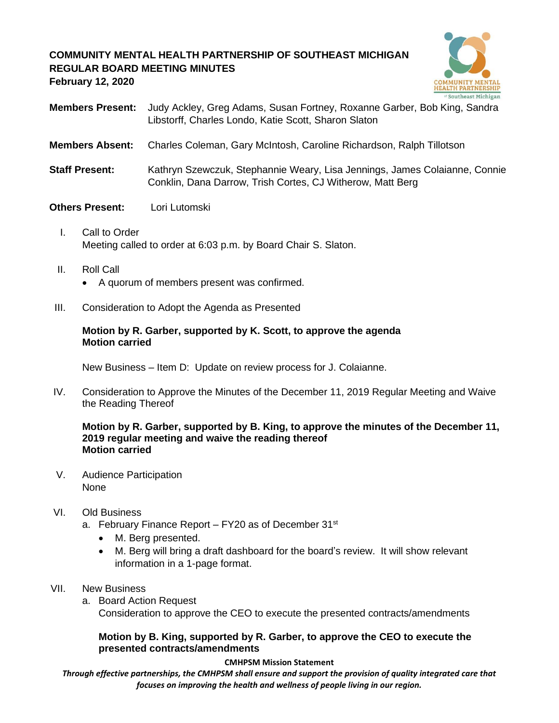# **COMMUNITY MENTAL HEALTH PARTNERSHIP OF SOUTHEAST MICHIGAN REGULAR BOARD MEETING MINUTES February 12, 2020**



- **Members Present:** Judy Ackley, Greg Adams, Susan Fortney, Roxanne Garber, Bob King, Sandra Libstorff, Charles Londo, Katie Scott, Sharon Slaton
- **Members Absent:** Charles Coleman, Gary McIntosh, Caroline Richardson, Ralph Tillotson
- **Staff Present:** Kathryn Szewczuk, Stephannie Weary, Lisa Jennings, James Colaianne, Connie Conklin, Dana Darrow, Trish Cortes, CJ Witherow, Matt Berg
- **Others Present:** Lori Lutomski
	- I. Call to Order Meeting called to order at 6:03 p.m. by Board Chair S. Slaton.
	- II. Roll Call
		- A quorum of members present was confirmed.
- III. Consideration to Adopt the Agenda as Presented

## **Motion by R. Garber, supported by K. Scott, to approve the agenda Motion carried**

New Business – Item D: Update on review process for J. Colaianne.

IV. Consideration to Approve the Minutes of the December 11, 2019 Regular Meeting and Waive the Reading Thereof

**Motion by R. Garber, supported by B. King, to approve the minutes of the December 11, 2019 regular meeting and waive the reading thereof Motion carried**

V. Audience Participation None

# VI. Old Business

- a. February Finance Report  $-$  FY20 as of December 31 $\mathrm{^{st}}$ 
	- M. Berg presented.
	- M. Berg will bring a draft dashboard for the board's review. It will show relevant information in a 1-page format.
- VII. New Business
	- a. Board Action Request

Consideration to approve the CEO to execute the presented contracts/amendments

## **Motion by B. King, supported by R. Garber, to approve the CEO to execute the presented contracts/amendments**

#### **CMHPSM Mission Statement**

*Through effective partnerships, the CMHPSM shall ensure and support the provision of quality integrated care that focuses on improving the health and wellness of people living in our region.*